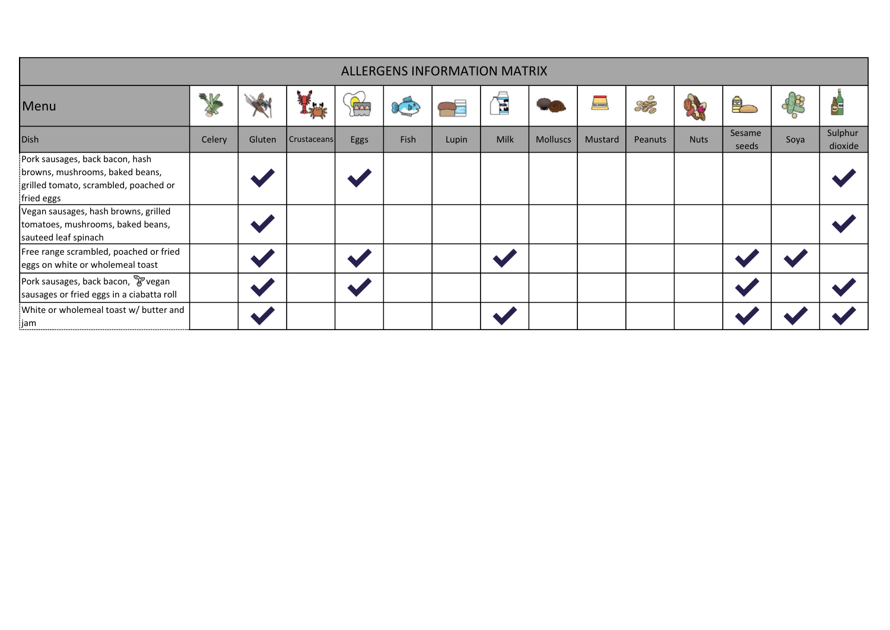| <b>ALLERGENS INFORMATION MATRIX</b>                                                                                       |        |        |             |      |             |       |             |                 |           |         |             |                 |      |                    |
|---------------------------------------------------------------------------------------------------------------------------|--------|--------|-------------|------|-------------|-------|-------------|-----------------|-----------|---------|-------------|-----------------|------|--------------------|
| Menu                                                                                                                      |        |        |             | E    |             |       | É           |                 | PALISMAKE | Sta     |             | 早               | 48   | $\bullet^{\Xi}$    |
| <b>Dish</b>                                                                                                               | Celery | Gluten | Crustaceans | Eggs | <b>Fish</b> | Lupin | <b>Milk</b> | <b>Molluscs</b> | Mustard   | Peanuts | <b>Nuts</b> | Sesame<br>seeds | Soya | Sulphur<br>dioxide |
| Pork sausages, back bacon, hash<br>browns, mushrooms, baked beans,<br>grilled tomato, scrambled, poached or<br>fried eggs |        |        |             |      |             |       |             |                 |           |         |             |                 |      |                    |
| Vegan sausages, hash browns, grilled<br>tomatoes, mushrooms, baked beans,<br>sauteed leaf spinach                         |        |        |             |      |             |       |             |                 |           |         |             |                 |      |                    |
| Free range scrambled, poached or fried<br>eggs on white or wholemeal toast                                                |        |        |             |      |             |       |             |                 |           |         |             |                 |      |                    |
| Pork sausages, back bacon, P vegan<br>sausages or fried eggs in a ciabatta roll                                           |        |        |             |      |             |       |             |                 |           |         |             |                 |      |                    |
| White or wholemeal toast w/ butter and<br>:jam                                                                            |        |        |             |      |             |       |             |                 |           |         |             |                 |      |                    |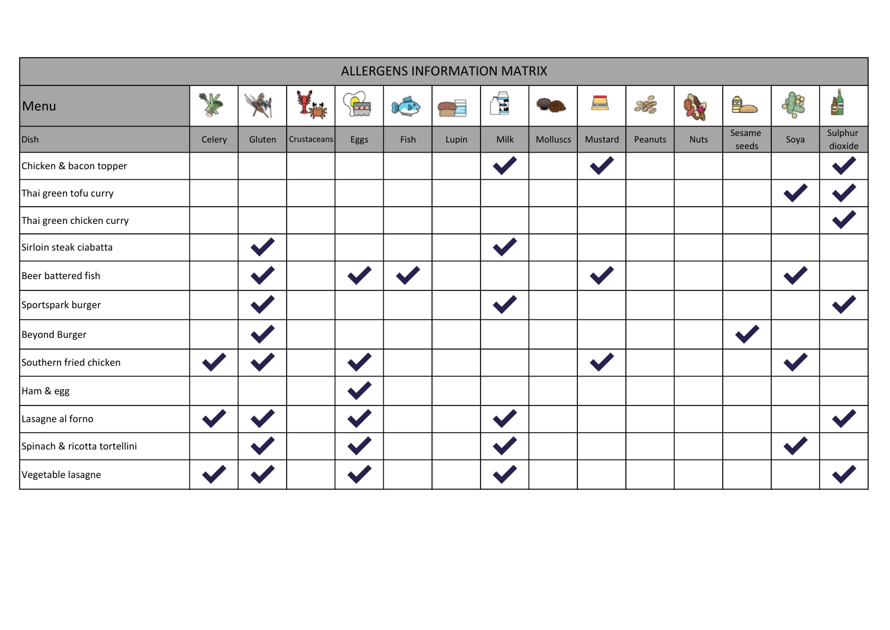| <b>ALLERGENS INFORMATION MATRIX</b> |                      |        |             |      |                                                                                                                                                                                                                                                                                                                                                     |               |                       |                 |         |         |             |                 |      |                    |
|-------------------------------------|----------------------|--------|-------------|------|-----------------------------------------------------------------------------------------------------------------------------------------------------------------------------------------------------------------------------------------------------------------------------------------------------------------------------------------------------|---------------|-----------------------|-----------------|---------|---------|-------------|-----------------|------|--------------------|
| Menu                                | ▧₩                   |        |             | R    | $\begin{picture}(20,20) \put(0,0){\line(1,0){10}} \put(15,0){\line(1,0){10}} \put(15,0){\line(1,0){10}} \put(15,0){\line(1,0){10}} \put(15,0){\line(1,0){10}} \put(15,0){\line(1,0){10}} \put(15,0){\line(1,0){10}} \put(15,0){\line(1,0){10}} \put(15,0){\line(1,0){10}} \put(15,0){\line(1,0){10}} \put(15,0){\line(1,0){10}} \put(15,0){\line(1$ | $\rightarrow$ | É                     |                 | $\sim$  | Stro    | X           | $\triangleq$    | 48   | $\frac{1}{\sigma}$ |
| Dish                                | Celery               | Gluten | Crustaceans | Eggs | Fish                                                                                                                                                                                                                                                                                                                                                | Lupin         | Milk                  | <b>Molluscs</b> | Mustard | Peanuts | <b>Nuts</b> | Sesame<br>seeds | Soya | Sulphur<br>dioxide |
| Chicken & bacon topper              |                      |        |             |      |                                                                                                                                                                                                                                                                                                                                                     |               | $\blacktriangleright$ |                 |         |         |             |                 |      |                    |
| Thai green tofu curry               |                      |        |             |      |                                                                                                                                                                                                                                                                                                                                                     |               |                       |                 |         |         |             |                 |      |                    |
| Thai green chicken curry            |                      |        |             |      |                                                                                                                                                                                                                                                                                                                                                     |               |                       |                 |         |         |             |                 |      |                    |
| Sirloin steak ciabatta              |                      |        |             |      |                                                                                                                                                                                                                                                                                                                                                     |               | $\blacktriangle$      |                 |         |         |             |                 |      |                    |
| Beer battered fish                  |                      |        |             |      |                                                                                                                                                                                                                                                                                                                                                     |               |                       |                 |         |         |             |                 |      |                    |
| Sportspark burger                   |                      |        |             |      |                                                                                                                                                                                                                                                                                                                                                     |               |                       |                 |         |         |             |                 |      |                    |
| Beyond Burger                       |                      |        |             |      |                                                                                                                                                                                                                                                                                                                                                     |               |                       |                 |         |         |             |                 |      |                    |
| Southern fried chicken              | $\blacklozenge$      |        |             |      |                                                                                                                                                                                                                                                                                                                                                     |               |                       |                 |         |         |             |                 |      |                    |
| Ham & egg                           |                      |        |             |      |                                                                                                                                                                                                                                                                                                                                                     |               |                       |                 |         |         |             |                 |      |                    |
| Lasagne al forno                    | $\ddot{\phantom{0}}$ |        |             |      |                                                                                                                                                                                                                                                                                                                                                     |               |                       |                 |         |         |             |                 |      |                    |
| Spinach & ricotta tortellini        |                      |        |             |      |                                                                                                                                                                                                                                                                                                                                                     |               |                       |                 |         |         |             |                 |      |                    |
| Vegetable lasagne                   |                      |        |             |      |                                                                                                                                                                                                                                                                                                                                                     |               |                       |                 |         |         |             |                 |      |                    |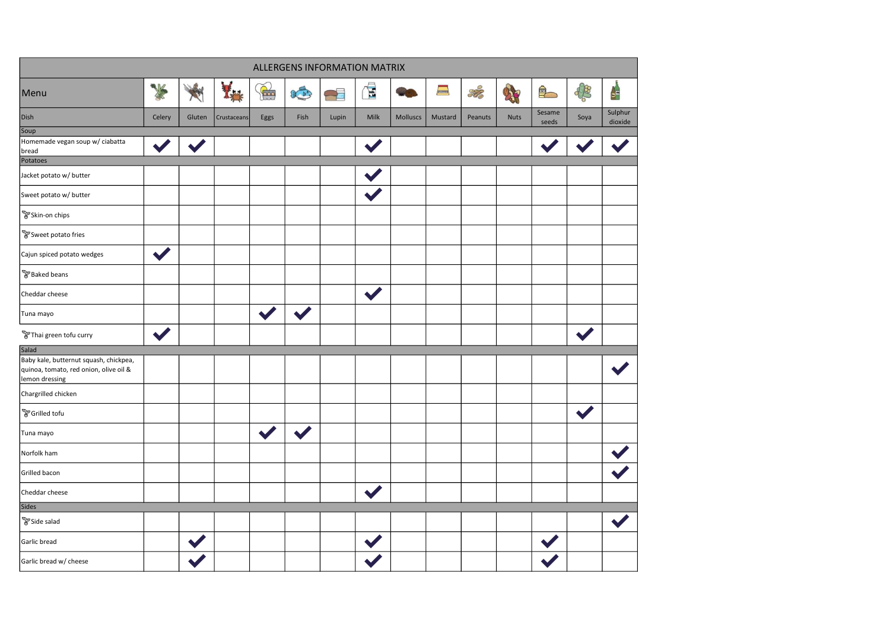|                                                                                                    |                      |        |             |              |                                                                                                                                                                                                                                                                                                                                                          | ALLERGENS INFORMATION MATRIX |              |          |         |         |      |                 |                      |                    |
|----------------------------------------------------------------------------------------------------|----------------------|--------|-------------|--------------|----------------------------------------------------------------------------------------------------------------------------------------------------------------------------------------------------------------------------------------------------------------------------------------------------------------------------------------------------------|------------------------------|--------------|----------|---------|---------|------|-----------------|----------------------|--------------------|
| Menu                                                                                               |                      |        | f.a.        | $\mathbb{R}$ | $\begin{picture}(4,4) \put(0,0) \put(0,0){\line(1,0){10}} \put(1,0){\line(1,0){10}} \put(1,0){\line(1,0){10}} \put(1,0){\line(1,0){10}} \put(1,0){\line(1,0){10}} \put(1,0){\line(1,0){10}} \put(1,0){\line(1,0){10}} \put(1,0){\line(1,0){10}} \put(1,0){\line(1,0){10}} \put(1,0){\line(1,0){10}} \put(1,0){\line(1,0){10}} \put(1,0){\line(1,0){10}}$ | Æ                            | $\mathbf{E}$ |          |         | Stro    | A    | $\clubsuit$     | 48                   | $\frac{1}{2}$      |
| Dish                                                                                               | Celery               | Gluten | Crustaceans | Eggs         | Fish                                                                                                                                                                                                                                                                                                                                                     | Lupin                        | Milk         | Molluscs | Mustard | Peanuts | Nuts | Sesame<br>seeds | Soya                 | Sulphur<br>dioxide |
| Soup                                                                                               |                      |        |             |              |                                                                                                                                                                                                                                                                                                                                                          |                              |              |          |         |         |      |                 |                      |                    |
| Homemade vegan soup w/ ciabatta<br>bread                                                           |                      |        |             |              |                                                                                                                                                                                                                                                                                                                                                          |                              |              |          |         |         |      |                 |                      |                    |
| Potatoes                                                                                           |                      |        |             |              |                                                                                                                                                                                                                                                                                                                                                          |                              |              |          |         |         |      |                 |                      |                    |
| Jacket potato w/ butter                                                                            |                      |        |             |              |                                                                                                                                                                                                                                                                                                                                                          |                              |              |          |         |         |      |                 |                      |                    |
| Sweet potato w/ butter                                                                             |                      |        |             |              |                                                                                                                                                                                                                                                                                                                                                          |                              |              |          |         |         |      |                 |                      |                    |
| PSkin-on chips                                                                                     |                      |        |             |              |                                                                                                                                                                                                                                                                                                                                                          |                              |              |          |         |         |      |                 |                      |                    |
| Sweet potato fries                                                                                 |                      |        |             |              |                                                                                                                                                                                                                                                                                                                                                          |                              |              |          |         |         |      |                 |                      |                    |
| Cajun spiced potato wedges                                                                         | $\blacktriangledown$ |        |             |              |                                                                                                                                                                                                                                                                                                                                                          |                              |              |          |         |         |      |                 |                      |                    |
| <b>P</b> Baked beans                                                                               |                      |        |             |              |                                                                                                                                                                                                                                                                                                                                                          |                              |              |          |         |         |      |                 |                      |                    |
| Cheddar cheese                                                                                     |                      |        |             |              |                                                                                                                                                                                                                                                                                                                                                          |                              |              |          |         |         |      |                 |                      |                    |
| Tuna mayo                                                                                          |                      |        |             |              |                                                                                                                                                                                                                                                                                                                                                          |                              |              |          |         |         |      |                 |                      |                    |
| Thai green tofu curry                                                                              |                      |        |             |              |                                                                                                                                                                                                                                                                                                                                                          |                              |              |          |         |         |      |                 |                      |                    |
| Salad                                                                                              |                      |        |             |              |                                                                                                                                                                                                                                                                                                                                                          |                              |              |          |         |         |      |                 |                      |                    |
| Baby kale, butternut squash, chickpea,<br>quinoa, tomato, red onion, olive oil &<br>lemon dressing |                      |        |             |              |                                                                                                                                                                                                                                                                                                                                                          |                              |              |          |         |         |      |                 |                      |                    |
| Chargrilled chicken                                                                                |                      |        |             |              |                                                                                                                                                                                                                                                                                                                                                          |                              |              |          |         |         |      |                 |                      |                    |
| <b>P</b> Grilled tofu                                                                              |                      |        |             |              |                                                                                                                                                                                                                                                                                                                                                          |                              |              |          |         |         |      |                 | $\blacktriangledown$ |                    |
| Tuna mayo                                                                                          |                      |        |             |              |                                                                                                                                                                                                                                                                                                                                                          |                              |              |          |         |         |      |                 |                      |                    |
| Norfolk ham                                                                                        |                      |        |             |              |                                                                                                                                                                                                                                                                                                                                                          |                              |              |          |         |         |      |                 |                      |                    |
| Grilled bacon                                                                                      |                      |        |             |              |                                                                                                                                                                                                                                                                                                                                                          |                              |              |          |         |         |      |                 |                      |                    |
| Cheddar cheese                                                                                     |                      |        |             |              |                                                                                                                                                                                                                                                                                                                                                          |                              |              |          |         |         |      |                 |                      |                    |
| Sides                                                                                              |                      |        |             |              |                                                                                                                                                                                                                                                                                                                                                          |                              |              |          |         |         |      |                 |                      |                    |
| PSide salad                                                                                        |                      |        |             |              |                                                                                                                                                                                                                                                                                                                                                          |                              |              |          |         |         |      |                 |                      |                    |
| Garlic bread                                                                                       |                      |        |             |              |                                                                                                                                                                                                                                                                                                                                                          |                              |              |          |         |         |      |                 |                      |                    |
| Garlic bread w/ cheese                                                                             |                      |        |             |              |                                                                                                                                                                                                                                                                                                                                                          |                              |              |          |         |         |      |                 |                      |                    |